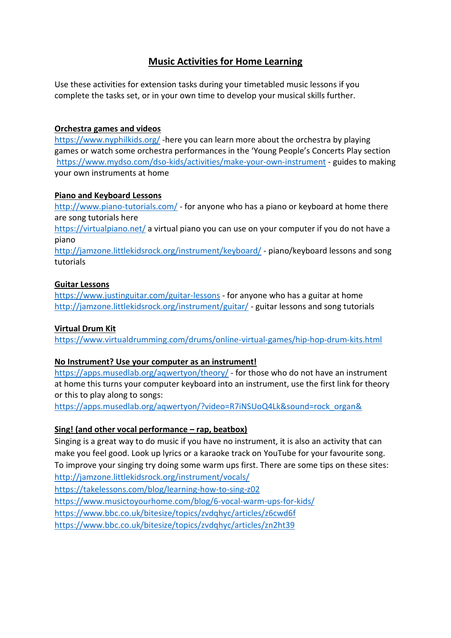# **Music Activities for Home Learning**

Use these activities for extension tasks during your timetabled music lessons if you complete the tasks set, or in your own time to develop your musical skills further.

# **Orchestra games and videos**

<https://www.nyphilkids.org/> -here you can learn more about the orchestra by playing games or watch some orchestra performances in the 'Young People's Concerts Play section <https://www.mydso.com/dso-kids/activities/make-your-own-instrument> - guides to making your own instruments at home

# **Piano and Keyboard Lessons**

<http://www.piano-tutorials.com/> - for anyone who has a piano or keyboard at home there are song tutorials here

<https://virtualpiano.net/> a virtual piano you can use on your computer if you do not have a piano

<http://jamzone.littlekidsrock.org/instrument/keyboard/> - piano/keyboard lessons and song tutorials

# **Guitar Lessons**

<https://www.justinguitar.com/guitar-lessons> - for anyone who has a guitar at home <http://jamzone.littlekidsrock.org/instrument/guitar/> - guitar lessons and song tutorials

#### **Virtual Drum Kit**

<https://www.virtualdrumming.com/drums/online-virtual-games/hip-hop-drum-kits.html>

#### **No Instrument? Use your computer as an instrument!**

<https://apps.musedlab.org/aqwertyon/theory/> - for those who do not have an instrument at home this turns your computer keyboard into an instrument, use the first link for theory or this to play along to songs:

[https://apps.musedlab.org/aqwertyon/?video=R7iNSUoQ4Lk&sound=rock\\_organ&](https://apps.musedlab.org/aqwertyon/?video=R7iNSUoQ4Lk&sound=rock_organ&)

#### **Sing! (and other vocal performance – rap, beatbox)**

Singing is a great way to do music if you have no instrument, it is also an activity that can make you feel good. Look up lyrics or a karaoke track on YouTube for your favourite song. To improve your singing try doing some warm ups first. There are some tips on these sites: <http://jamzone.littlekidsrock.org/instrument/vocals/>

<https://takelessons.com/blog/learning-how-to-sing-z02>

<https://www.musictoyourhome.com/blog/6-vocal-warm-ups-for-kids/>

<https://www.bbc.co.uk/bitesize/topics/zvdqhyc/articles/z6cwd6f>

<https://www.bbc.co.uk/bitesize/topics/zvdqhyc/articles/zn2ht39>